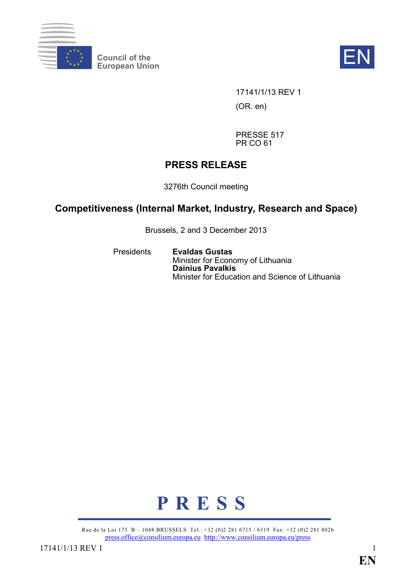

**Council of the** Council of the **EN**<br>European Union



17141/1/13 REV 1 (OR. en)

PRESSE 517 PR CO 61

# **PRESS RELEASE**

3276th Council meeting

# **Competitiveness (Internal Market, Industry, Research and Space)**

Brussels, 2 and 3 December 2013

Presidents **Evaldas Gustas** Minister for Economy of Lithuania **Dainius Pavalkis** Minister for Education and Science of Lithuania



Rue de la Loi 175 B – 1048 BRUSSELS Tel.: +32 (0)2 281 6715 / 6319 Fax: +32 (0)2 281 8026 [press.office@consilium.europa.eu](mailto:press.office@consilium.europa.eu) <http://www.consilium.europa.eu/press>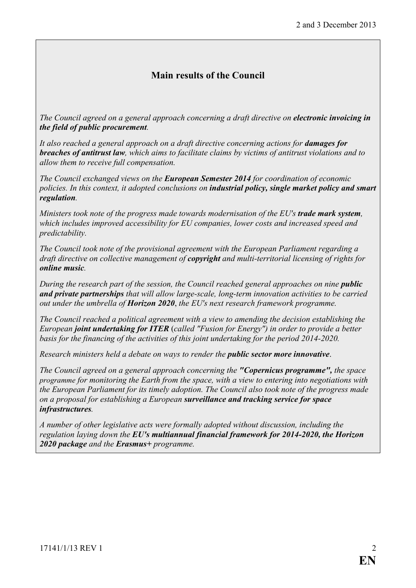# **Main results of the Council**

*The Council agreed on a general approach concerning a draft directive on electronic invoicing in the field of public procurement.*

*It also reached a general approach on a draft directive concerning actions for damages for breaches of antitrust law, which aims to facilitate claims by victims of antitrust violations and to allow them to receive full compensation.*

*The Council exchanged views on the European Semester 2014 for coordination of economic policies. In this context, it adopted conclusions on industrial policy, single market policy and smart regulation.* 

*Ministers took note of the progress made towards modernisation of the EU's trade mark system, which includes improved accessibility for EU companies, lower costs and increased speed and predictability.*

*The Council took note of the provisional agreement with the European Parliament regarding a draft directive on collective management of copyright and multi-territorial licensing of rights for online music.*

*During the research part of the session, the Council reached general approaches on nine <i>public and private partnerships that will allow large-scale, long-term innovation activities to be carried out under the umbrella of Horizon 2020*, *the EU's next research framework programme.*

*The Council reached a political agreement with a view to amending the decision establishing the European joint undertaking for ITER* (*called "Fusion for Energy") in order to provide a better basis for the financing of the activities of this joint undertaking for the period 2014-2020.*

*Research ministers held a debate on ways to render the public sector more innovative*.

*The Council agreed on a general approach concerning the "Copernicus programme", the space programme for monitoring the Earth from the space, with a view to entering into negotiations with the European Parliament for its timely adoption. The Council also took note of the progress made on a proposal for establishing a European surveillance and tracking service for space infrastructures.*

*A number of other legislative acts were formally adopted without discussion, including the regulation laying down the EU's multiannual financial framework for 2014-2020, the Horizon 2020 package and the Erasmus+ programme.*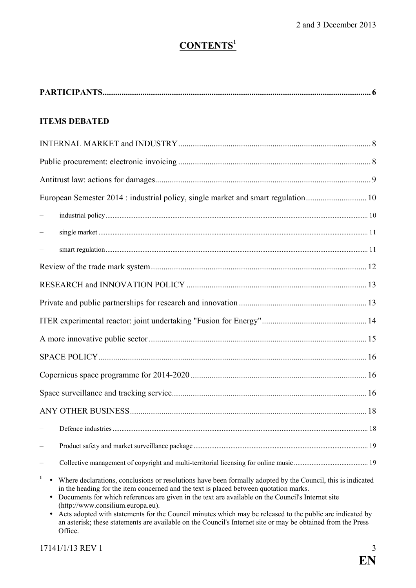# **CONTENTS<sup>1</sup>**

| <b>ITEMS DEBATED</b>                                                                                                                                                                                                                                                                                                                                                                                                                                                                                                                                                                                                     |  |  |  |
|--------------------------------------------------------------------------------------------------------------------------------------------------------------------------------------------------------------------------------------------------------------------------------------------------------------------------------------------------------------------------------------------------------------------------------------------------------------------------------------------------------------------------------------------------------------------------------------------------------------------------|--|--|--|
|                                                                                                                                                                                                                                                                                                                                                                                                                                                                                                                                                                                                                          |  |  |  |
|                                                                                                                                                                                                                                                                                                                                                                                                                                                                                                                                                                                                                          |  |  |  |
|                                                                                                                                                                                                                                                                                                                                                                                                                                                                                                                                                                                                                          |  |  |  |
| European Semester 2014 : industrial policy, single market and smart regulation 10                                                                                                                                                                                                                                                                                                                                                                                                                                                                                                                                        |  |  |  |
|                                                                                                                                                                                                                                                                                                                                                                                                                                                                                                                                                                                                                          |  |  |  |
|                                                                                                                                                                                                                                                                                                                                                                                                                                                                                                                                                                                                                          |  |  |  |
|                                                                                                                                                                                                                                                                                                                                                                                                                                                                                                                                                                                                                          |  |  |  |
|                                                                                                                                                                                                                                                                                                                                                                                                                                                                                                                                                                                                                          |  |  |  |
|                                                                                                                                                                                                                                                                                                                                                                                                                                                                                                                                                                                                                          |  |  |  |
|                                                                                                                                                                                                                                                                                                                                                                                                                                                                                                                                                                                                                          |  |  |  |
|                                                                                                                                                                                                                                                                                                                                                                                                                                                                                                                                                                                                                          |  |  |  |
|                                                                                                                                                                                                                                                                                                                                                                                                                                                                                                                                                                                                                          |  |  |  |
|                                                                                                                                                                                                                                                                                                                                                                                                                                                                                                                                                                                                                          |  |  |  |
|                                                                                                                                                                                                                                                                                                                                                                                                                                                                                                                                                                                                                          |  |  |  |
|                                                                                                                                                                                                                                                                                                                                                                                                                                                                                                                                                                                                                          |  |  |  |
|                                                                                                                                                                                                                                                                                                                                                                                                                                                                                                                                                                                                                          |  |  |  |
|                                                                                                                                                                                                                                                                                                                                                                                                                                                                                                                                                                                                                          |  |  |  |
|                                                                                                                                                                                                                                                                                                                                                                                                                                                                                                                                                                                                                          |  |  |  |
|                                                                                                                                                                                                                                                                                                                                                                                                                                                                                                                                                                                                                          |  |  |  |
| $\mathbf{1}$<br>Where declarations, conclusions or resolutions have been formally adopted by the Council, this is indicated<br>in the heading for the item concerned and the text is placed between quotation marks.<br>Documents for which references are given in the text are available on the Council's Internet site<br>$\bullet$<br>(http://www.consilium.europa.eu).<br>Acts adopted with statements for the Council minutes which may be released to the public are indicated by<br>٠<br>an asterisk; these statements are available on the Council's Internet site or may be obtained from the Press<br>Office. |  |  |  |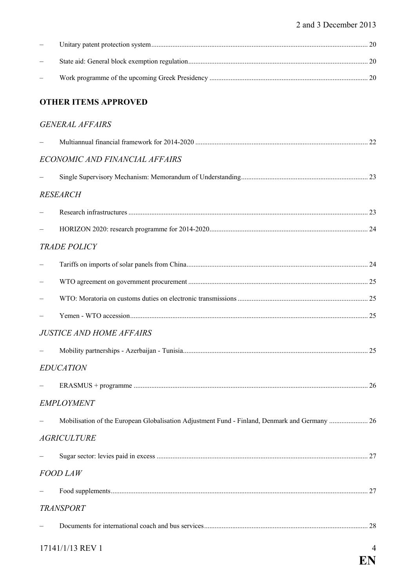| <b>OTHER ITEMS APPROVED</b>                                                                   |   |
|-----------------------------------------------------------------------------------------------|---|
| <b>GENERAL AFFAIRS</b>                                                                        |   |
|                                                                                               |   |
| ECONOMIC AND FINANCIAL AFFAIRS                                                                |   |
|                                                                                               |   |
| <b>RESEARCH</b>                                                                               |   |
|                                                                                               |   |
|                                                                                               |   |
| <b>TRADE POLICY</b>                                                                           |   |
|                                                                                               |   |
|                                                                                               |   |
|                                                                                               |   |
|                                                                                               |   |
| <b>JUSTICE AND HOME AFFAIRS</b>                                                               |   |
|                                                                                               |   |
| <b>EDUCATION</b>                                                                              |   |
|                                                                                               |   |
| <b>EMPLOYMENT</b>                                                                             |   |
| Mobilisation of the European Globalisation Adjustment Fund - Finland, Denmark and Germany  26 |   |
| <b>AGRICULTURE</b>                                                                            |   |
|                                                                                               |   |
| <b>FOOD LAW</b>                                                                               |   |
|                                                                                               |   |
| <b>TRANSPORT</b>                                                                              |   |
|                                                                                               |   |
| 17141/1/13 REV 1                                                                              | 4 |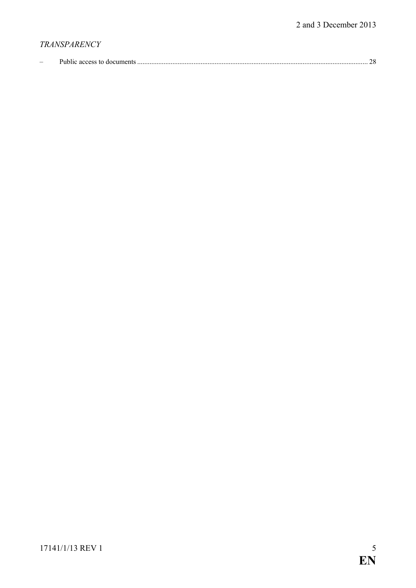# *TRANSPARENCY*

| $\overline{\phantom{0}}$ | UDIIC ACCESS IO<br>я аоспиент |  |  |
|--------------------------|-------------------------------|--|--|
|--------------------------|-------------------------------|--|--|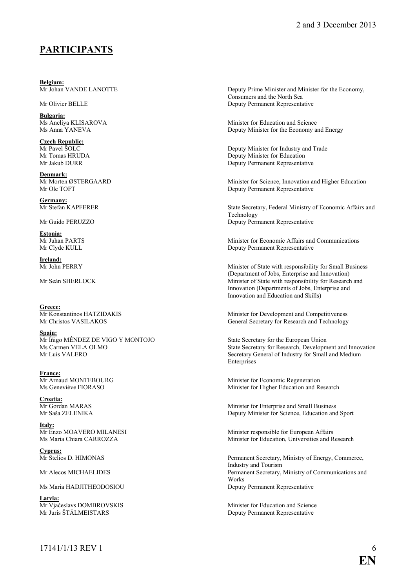## <span id="page-5-0"></span>**PARTICIPANTS**

**Belgium:**<br>Mr Johan VANDE LANOTTE

**Bulgaria:**<br>Ms Aneliva KLISAROVA

**Czech Republic:**<br>Mr Pavel ŠOLC

**Denmark:**<br>Mr Morten ØSTERGAARD

**Germany:**<br>Mr Stefan KAPFERER

**Estonia:**

**Ireland:**<br>Mr John PERRY

**Greece:**<br>Mr Konstantinos HATZIDAKIS

**Spain:** Mr Íñigo MÉNDEZ DE VIGO Y MONTOJO<br>
Ms Carmen VELA OLMO<br>
State Secretary for Research, Developm

**France:**<br>Mr Arnaud MONTEBOURG

**Croatia:**

**<u>Italy:</u><br>Mr Enzo MOAVERO MILANESI** 

**Cyprus:**

**Latvia:**

Deputy Prime Minister and Minister for the Economy, Consumers and the North Sea Mr Olivier BELLE Deputy Permanent Representative

Ms Aneliya KLISAROVA<br>
Minister for Education and Science<br>
Ms Anna YANEVA<br>
Minister for the Economy a Deputy Minister for the Economy and Energy

Mr Pavel ŠOLC<br>
Mr Tomas HRUDA<br>
Mr Tomas HRUDA<br>
Deputy Minister for Education Mr Tomas HRUDA<br>
Mr Jakub DURR<br>
Deputy Permanent Representation<br>
Deputy Permanent Representation Deputy Permanent Representative

Mr Morten ØSTERGAARD Minister for Science, Innovation and Higher Education<br>Mr Ole TOFT Denuty Permanent Representative Deputy Permanent Representative

State Secretary, Federal Ministry of Economic Affairs and Technology Mr Guido PERUZZO Deputy Permanent Representative

Mr Juhan PARTS<br>Minister for Economic Affairs and Communications<br>Mr Clyde KULL<br>Deputy Permanent Representative Deputy Permanent Representative

Minister of State with responsibility for Small Business (Department of Jobs, Enterprise and Innovation) Mr Seán SHERLOCK Minister of State with responsibility for Research and Innovation (Departments of Jobs, Enterprise and Innovation and Education and Skills)

Minister for Development and Competitiveness Mr Christos VASILAKOS General Secretary for Research and Technology

Ms Carmen VELA OLMO<br>Mr Luis VALERO Secretary for Research, Development and Innovation<br>Secretary General of Industry for Small and Medium Secretary General of Industry for Small and Medium Enterprises

Mr Arnaud MONTEBOURG<br>
Ms Geneviève FIORASO<br>
Minister for Higher Education and Re Minister for Higher Education and Research

Mr Gordan MARAS Minister for Enterprise and Small Business Mr Saša ZELENIKA Deputy Minister for Science, Education and Sport

Mr Enzo MOAVERO MILANESI Minister responsible for European Affairs<br>Ms Maria Chiara CARROZZA Minister for Education, Universities and R Minister for Education, Universities and Research

Mr Stelios D. HIMONAS Permanent Secretary, Ministry of Energy, Commerce, Industry and Tourism Mr Alecos MICHAELIDES **Permanent Secretary, Ministry of Communications and** Works Ms Maria HADJITHEODOSIOU Deputy Permanent Representative

Mr Vjačeslavs DOMBROVSKIS<br>
Mr Iuris ŠTĀI MEISTARS<br>
Mr Iuris ŠTĀI MEISTARS<br>
Deputy Permanent Representative Deputy Permanent Representative

 $17141/1/13$  REV 1 6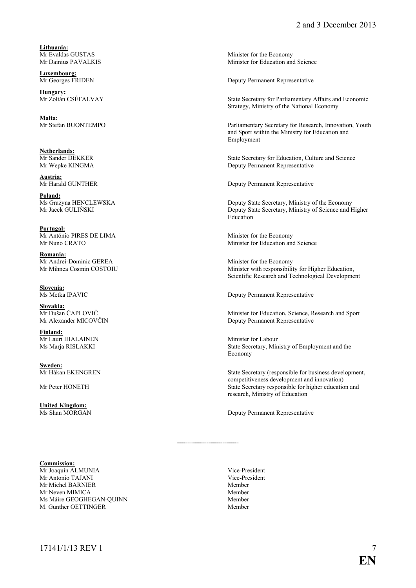**Lithuania:**

**Luxembourg:**

**Hungary:**<br>Mr Zoltán CSÉFALVAY

**Malta:**

**Netherlands:**<br>Mr Sander DEKKER

**Austria:**

**Poland:**<br>Ms Grażyna HENCLEWSKA

**Portugal:** Mr António PIRES DE LIMA<br>
Mr Nuno CRATO Minister for Education and<br>
Minister for Education and

**Romania:** Mr Andrei-Dominic GEREA Minister for the Economy<br>Mr Minister with responsibili

**Slovenia:**

**Slovakia:**<br>Mr Dušan ČAPLOVIČ

**Finland:** Mr Lauri IHALAINEN Minister for Labour

**Sweden:**<br>Mr Håkan EKENGREN

**United Kingdom:**<br>Ms Shan MORGAN

#### **Commission:**

Mr Joaquin ALMUNIA Vice-President Nice-President Nice-President Nice-President Nice-President Nice-President Nice-President Nice-President Nice-President Nice-President Nice-President Nice-President Nice-President Nice-Pre Mr Antonio TAJANI Vice-Pre<br>
Mr Michel BARNIER Member Mr Michel BARNIER Member<br>Mr Neven MIMICA Member Mr Neven MIMICA<br>
Ms Máire GEOGHEGAN-OLIINN<br>
Member Ms Máire GEOGHEGAN-OUINN M. Günther OETTINGER Member

Mr Evaldas GUSTAS Minister for the Economy<br>Mr Dainius PAVALKIS Minister for Education and Minister for Education and Science

Deputy Permanent Representative

State Secretary for Parliamentary Affairs and Economic Strategy, Ministry of the National Economy

Parliamentary Secretary for Research, Innovation, Youth and Sport within the Ministry for Education and Employment

Mr Sander DEKKER State Secretary for Education, Culture and Science<br>Mr Wepke KINGMA Deputy Permanent Representative Deputy Permanent Representative

Deputy Permanent Representative

Ms Grażyna HENCLEWSKA Deputy State Secretary, Ministry of the Economy<br>Mr Jacek GULINSKI Deputy State Secretary, Ministry of Science and H Deputy State Secretary, Ministry of Science and Higher Education

Minister for Education and Science

Minister with responsibility for Higher Education, Scientific Research and Technological Development

Deputy Permanent Representative

Mr Dušan ČAPLOVIČ<br>Minister for Education, Science, Research and Sport<br>Deputy Permanent Representative Deputy Permanent Representative

Ms Marja RISLAKKI State Secretary, Ministry of Employment and the Economy

State Secretary (responsible for business development, competitiveness development and innovation) Mr Peter HONETH State Secretary responsible for higher education and research, Ministry of Education

Deputy Permanent Representative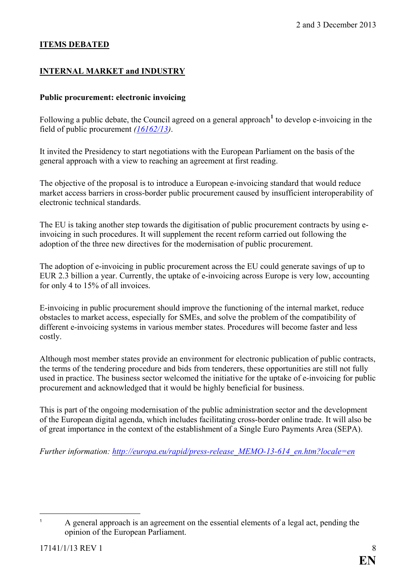## **ITEMS DEBATED**

## <span id="page-7-0"></span>**INTERNAL MARKET and INDUSTRY**

### <span id="page-7-1"></span>**Public procurement: electronic invoicing**

Following a public debate, the Council agreed on a general approach**[1](#page-7-2)** to develop e-invoicing in the field of public procurement *[\(16162/13\)](http://register.consilium.europa.eu/pdf/en/13/st16/st16162.en13.pdf)*.

It invited the Presidency to start negotiations with the European Parliament on the basis of the general approach with a view to reaching an agreement at first reading.

The objective of the proposal is to introduce a European e-invoicing standard that would reduce market access barriers in cross-border public procurement caused by insufficient interoperability of electronic technical standards.

The EU is taking another step towards the digitisation of public procurement contracts by using einvoicing in such procedures. It will supplement the recent reform carried out following the adoption of the three new directives for the modernisation of public procurement.

The adoption of e-invoicing in public procurement across the EU could generate savings of up to EUR 2.3 billion a year. Currently, the uptake of e-invoicing across Europe is very low, accounting for only 4 to 15% of all invoices.

E-invoicing in public procurement should improve the functioning of the internal market, reduce obstacles to market access, especially for SMEs, and solve the problem of the compatibility of different e-invoicing systems in various member states. Procedures will become faster and less costly.

Although most member states provide an environment for electronic publication of public contracts, the terms of the tendering procedure and bids from tenderers, these opportunities are still not fully used in practice. The business sector welcomed the initiative for the uptake of e-invoicing for public procurement and acknowledged that it would be highly beneficial for business.

This is part of the ongoing modernisation of the public administration sector and the development of the European digital agenda, which includes facilitating cross-border online trade. It will also be of great importance in the context of the establishment of a Single Euro Payments Area (SEPA).

*Further information: [http://europa.eu/rapid/press-release\\_MEMO-13-614\\_en.htm?locale=en](http://europa.eu/rapid/press-release_MEMO-13-614_en.htm?locale=en)*

<span id="page-7-2"></span> $\overline{1}$ <sup>1</sup> A general approach is an agreement on the essential elements of a legal act, pending the opinion of the European Parliament.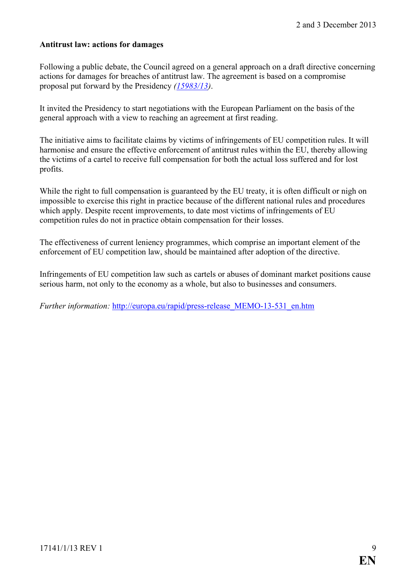#### <span id="page-8-0"></span>**Antitrust law: actions for damages**

Following a public debate, the Council agreed on a general approach on a draft directive concerning actions for damages for breaches of antitrust law. The agreement is based on a compromise proposal put forward by the Presidency *[\(15983/13\)](http://register.consilium.europa.eu/pdf/en/13/st15/st15983.en13.pdf)*.

It invited the Presidency to start negotiations with the European Parliament on the basis of the general approach with a view to reaching an agreement at first reading.

The initiative aims to facilitate claims by victims of infringements of EU competition rules. It will harmonise and ensure the effective enforcement of antitrust rules within the EU, thereby allowing the victims of a cartel to receive full compensation for both the actual loss suffered and for lost profits.

While the right to full compensation is guaranteed by the EU treaty, it is often difficult or nigh on impossible to exercise this right in practice because of the different national rules and procedures which apply. Despite recent improvements, to date most victims of infringements of EU competition rules do not in practice obtain compensation for their losses.

The effectiveness of current leniency programmes, which comprise an important element of the enforcement of EU competition law, should be maintained after adoption of the directive.

Infringements of EU competition law such as cartels or abuses of dominant market positions cause serious harm, not only to the economy as a whole, but also to businesses and consumers.

*Further information: http://europa.eu/rapid/press-release MEMO-13-531 en.htm*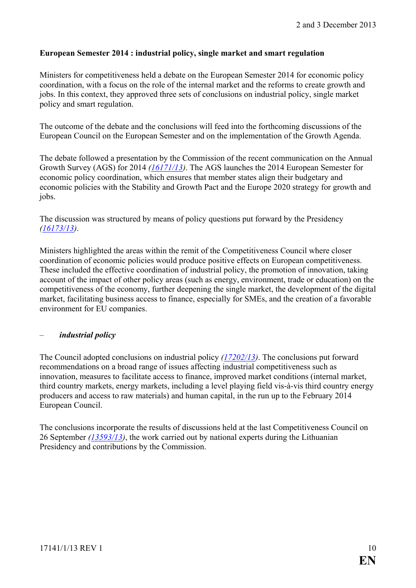#### <span id="page-9-0"></span>**European Semester 2014 : industrial policy, single market and smart regulation**

Ministers for competitiveness held a debate on the European Semester 2014 for economic policy coordination, with a focus on the role of the internal market and the reforms to create growth and jobs. In this context, they approved three sets of conclusions on industrial policy, single market policy and smart regulation.

The outcome of the debate and the conclusions will feed into the forthcoming discussions of the European Council on the European Semester and on the implementation of the Growth Agenda.

The debate followed a presentation by the Commission of the recent communication on the Annual Growth Survey (AGS) for 2014 *[\(16171/13\)](http://register.consilium.europa.eu/pdf/en/13/st16/st16171.en13.pdf)*. The AGS launches the 2014 European Semester for economic policy coordination, which ensures that member states align their budgetary and economic policies with the Stability and Growth Pact and the Europe 2020 strategy for growth and jobs.

The discussion was structured by means of policy questions put forward by the Presidency *[\(16173/13\)](http://register.consilium.europa.eu/pdf/en/13/st16/st16173.en13.pdf)*.

Ministers highlighted the areas within the remit of the Competitiveness Council where closer coordination of economic policies would produce positive effects on European competitiveness. These included the effective coordination of industrial policy, the promotion of innovation, taking account of the impact of other policy areas (such as energy, environment, trade or education) on the competitiveness of the economy, further deepening the single market, the development of the digital market, facilitating business access to finance, especially for SMEs, and the creation of a favorable environment for EU companies.

#### <span id="page-9-1"></span>– *industrial policy*

The Council adopted conclusions on industrial policy *[\(17202/13\)](http://register.consilium.europa.eu/pdf/en/13/st17/st17202.en13.pdf)*. The conclusions put forward recommendations on a broad range of issues affecting industrial competitiveness such as innovation, measures to facilitate access to finance, improved market conditions (internal market, third country markets, energy markets, including a level playing field vis-à-vis third country energy producers and access to raw materials) and human capital, in the run up to the February 2014 European Council.

The conclusions incorporate the results of discussions held at the last Competitiveness Council on 26 September *[\(13593/13\)](http://register.consilium.europa.eu/pdf/en/13/st13/st13593.en13.pdf)*, the work carried out by national experts during the Lithuanian Presidency and contributions by the Commission.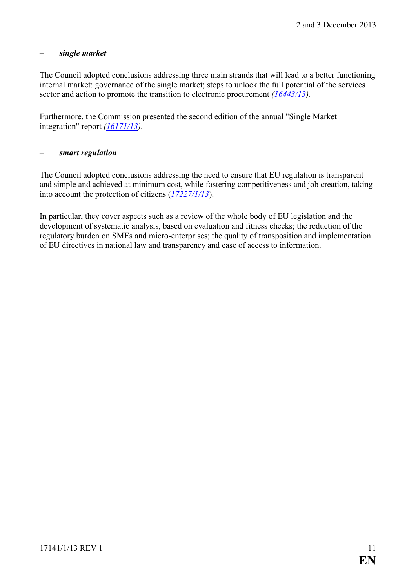## <span id="page-10-0"></span>– *single market*

The Council adopted conclusions addressing three main strands that will lead to a better functioning internal market: governance of the single market; steps to unlock the full potential of the services sector and action to promote the transition to electronic procurement *[\(16443/13\)](http://register.consilium.europa.eu/pdf/en/13/st16/st16443.en13.pdf).*

Furthermore, the Commission presented the second edition of the annual "Single Market integration" report *[\(16171/13\)](http://register.consilium.europa.eu/pdf/en/13/st16/st16171.en13.pdf)*.

#### <span id="page-10-1"></span>– *smart regulation*

The Council adopted conclusions addressing the need to ensure that EU regulation is transparent and simple and achieved at minimum cost, while fostering competitiveness and job creation, taking into account the protection of citizens (*[17227/1/13](http://register.consilium.europa.eu/doc/srv?l=EN&t=PDF&gc=true&sc=false&f=ST%2017227%202013%20REV%201&r=http%3A%2F%2Fregister.consilium.europa.eu%2Fpd%2Fen%2F13%2Fst17%2Fst17227-re01.en13.pdf)*).

In particular, they cover aspects such as a review of the whole body of EU legislation and the development of systematic analysis, based on evaluation and fitness checks; the reduction of the regulatory burden on SMEs and micro-enterprises; the quality of transposition and implementation of EU directives in national law and transparency and ease of access to information.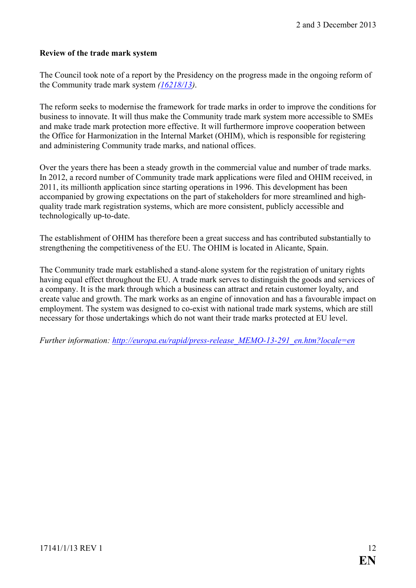#### <span id="page-11-0"></span>**Review of the trade mark system**

The Council took note of a report by the Presidency on the progress made in the ongoing reform of the Community trade mark system *[\(16218/13\)](http://register.consilium.europa.eu/pdf/en/13/st16/st16218.en13.pdf)*.

The reform seeks to modernise the framework for trade marks in order to improve the conditions for business to innovate. It will thus make the Community trade mark system more accessible to SMEs and make trade mark protection more effective. It will furthermore improve cooperation between the Office for Harmonization in the Internal Market (OHIM), which is responsible for registering and administering Community trade marks, and national offices.

Over the years there has been a steady growth in the commercial value and number of trade marks. In 2012, a record number of Community trade mark applications were filed and OHIM received, in 2011, its millionth application since starting operations in 1996. This development has been accompanied by growing expectations on the part of stakeholders for more streamlined and highquality trade mark registration systems, which are more consistent, publicly accessible and technologically up-to-date.

The establishment of OHIM has therefore been a great success and has contributed substantially to strengthening the competitiveness of the EU. The OHIM is located in Alicante, Spain.

The Community trade mark established a stand-alone system for the registration of unitary rights having equal effect throughout the EU. A trade mark serves to distinguish the goods and services of a company. It is the mark through which a business can attract and retain customer loyalty, and create value and growth. The mark works as an engine of innovation and has a favourable impact on employment. The system was designed to co-exist with national trade mark systems, which are still necessary for those undertakings which do not want their trade marks protected at EU level.

*Further information: [http://europa.eu/rapid/press-release\\_MEMO-13-291\\_en.htm?locale=en](http://europa.eu/rapid/press-release_MEMO-13-291_en.htm?locale=en)*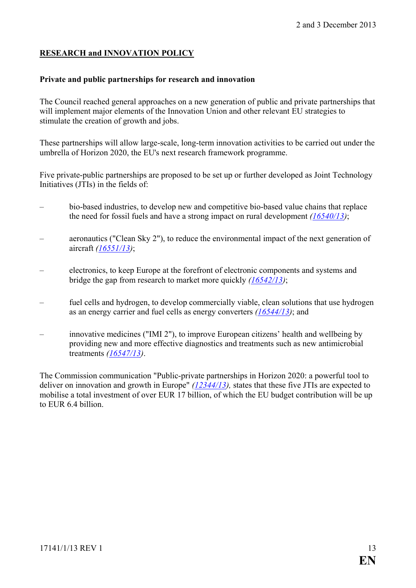## <span id="page-12-0"></span>**RESEARCH and INNOVATION POLICY**

#### <span id="page-12-1"></span>**Private and public partnerships for research and innovation**

The Council reached general approaches on a new generation of public and private partnerships that will implement major elements of the Innovation Union and other relevant EU strategies to stimulate the creation of growth and jobs.

These partnerships will allow large-scale, long-term innovation activities to be carried out under the umbrella of Horizon 2020, the EU's next research framework programme.

Five private-public partnerships are proposed to be set up or further developed as Joint Technology Initiatives (JTIs) in the fields of:

- bio-based industries, to develop new and competitive bio-based value chains that replace the need for fossil fuels and have a strong impact on rural development *[\(16540/13\)](http://register.consilium.europa.eu/pdf/en/13/st16/st16540.en13.pdf)*;
- aeronautics ("Clean Sky 2"), to reduce the environmental impact of the next generation of aircraft *[\(16551/13\)](http://register.consilium.europa.eu/pdf/en/13/st16/st16551.en13.pdf)*;
- electronics, to keep Europe at the forefront of electronic components and systems and bridge the gap from research to market more quickly *[\(16542/13\)](http://register.consilium.europa.eu/pdf/en/13/st16/st16542.en13.pdf)*;
- fuel cells and hydrogen, to develop commercially viable, clean solutions that use hydrogen as an energy carrier and fuel cells as energy converters *[\(16544/13\)](http://register.consilium.europa.eu/pdf/en/13/st16/st16544.en13.pdf)*; and
- innovative medicines ("IMI 2"), to improve European citizens' health and wellbeing by providing new and more effective diagnostics and treatments such as new antimicrobial treatments *[\(16547/13\)](http://register.consilium.europa.eu/pdf/en/13/st16/st16547.en13.pdf)*.

The Commission communication "Public-private partnerships in Horizon 2020: a powerful tool to deliver on innovation and growth in Europe" *[\(12344/13\)](http://register.consilium.europa.eu/pdf/en/13/st12/st12344.en13.pdf),* states that these five JTIs are expected to mobilise a total investment of over EUR 17 billion, of which the EU budget contribution will be up to EUR 6.4 billion.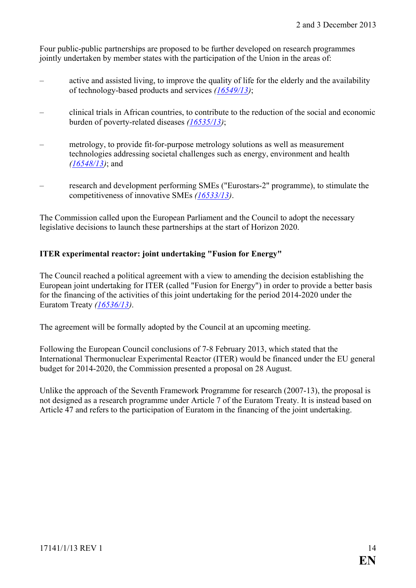Four public-public partnerships are proposed to be further developed on research programmes jointly undertaken by member states with the participation of the Union in the areas of:

- active and assisted living, to improve the quality of life for the elderly and the availability of technology-based products and services *[\(16549/13\)](http://register.consilium.europa.eu/pdf/en/13/st16/st16549.en13.pdf)*;
- clinical trials in African countries, to contribute to the reduction of the social and economic burden of poverty-related diseases *[\(16535/13\)](http://register.consilium.europa.eu/pdf/en/13/st16/st16535.en13.pdf)*;
- metrology, to provide fit-for-purpose metrology solutions as well as measurement technologies addressing societal challenges such as energy, environment and health *[\(16548/13\)](http://register.consilium.europa.eu/pdf/en/13/st16/st16548.en13.pdf)*; and
- research and development performing SMEs ("Eurostars-2" programme), to stimulate the competitiveness of innovative SMEs *[\(16533/13\)](http://register.consilium.europa.eu/pdf/en/13/st16/st16533.en13.pdf)*.

The Commission called upon the European Parliament and the Council to adopt the necessary legislative decisions to launch these partnerships at the start of Horizon 2020.

## <span id="page-13-0"></span>**ITER experimental reactor: joint undertaking "Fusion for Energy"**

The Council reached a political agreement with a view to amending the decision establishing the European joint undertaking for ITER (called "Fusion for Energy") in order to provide a better basis for the financing of the activities of this joint undertaking for the period 2014-2020 under the Euratom Treaty *[\(16536/13\)](http://register.consilium.europa.eu/pdf/en/13/st16/st16536.en13.pdf)*.

The agreement will be formally adopted by the Council at an upcoming meeting.

Following the European Council conclusions of 7-8 February 2013, which stated that the International Thermonuclear Experimental Reactor (ITER) would be financed under the EU general budget for 2014-2020, the Commission presented a proposal on 28 August.

Unlike the approach of the Seventh Framework Programme for research (2007-13), the proposal is not designed as a research programme under Article 7 of the Euratom Treaty. It is instead based on Article 47 and refers to the participation of Euratom in the financing of the joint undertaking.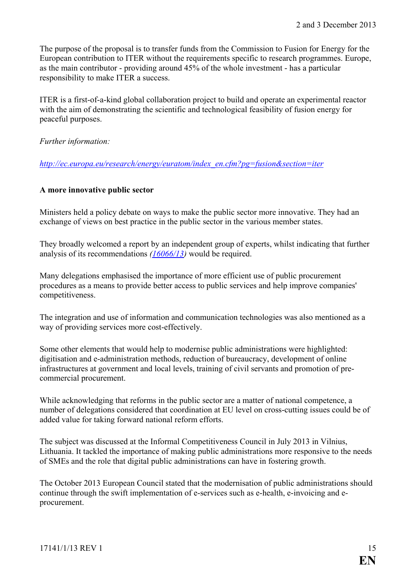The purpose of the proposal is to transfer funds from the Commission to Fusion for Energy for the European contribution to ITER without the requirements specific to research programmes. Europe, as the main contributor - providing around 45% of the whole investment - has a particular responsibility to make ITER a success.

ITER is a first-of-a-kind global collaboration project to build and operate an experimental reactor with the aim of demonstrating the scientific and technological feasibility of fusion energy for peaceful purposes.

*Further information:*

*[http://ec.europa.eu/research/energy/euratom/index\\_en.cfm?pg=fusion&section=iter](http://ec.europa.eu/research/energy/euratom/index_en.cfm?pg=fusion§ion=iter)*

### <span id="page-14-0"></span>**A more innovative public sector**

Ministers held a policy debate on ways to make the public sector more innovative. They had an exchange of views on best practice in the public sector in the various member states.

They broadly welcomed a report by an independent group of experts, whilst indicating that further analysis of its recommendations *[\(16066/13\)](http://register.consilium.europa.eu/pdf/en/13/st16/st16066.en13.pdf)* would be required.

Many delegations emphasised the importance of more efficient use of public procurement procedures as a means to provide better access to public services and help improve companies' competitiveness.

The integration and use of information and communication technologies was also mentioned as a way of providing services more cost-effectively.

Some other elements that would help to modernise public administrations were highlighted: digitisation and e-administration methods, reduction of bureaucracy, development of online infrastructures at government and local levels, training of civil servants and promotion of precommercial procurement.

While acknowledging that reforms in the public sector are a matter of national competence, a number of delegations considered that coordination at EU level on cross-cutting issues could be of added value for taking forward national reform efforts.

The subject was discussed at the Informal Competitiveness Council in July 2013 in Vilnius, Lithuania. It tackled the importance of making public administrations more responsive to the needs of SMEs and the role that digital public administrations can have in fostering growth.

The October 2013 European Council stated that the modernisation of public administrations should continue through the swift implementation of e-services such as e-health, e-invoicing and eprocurement.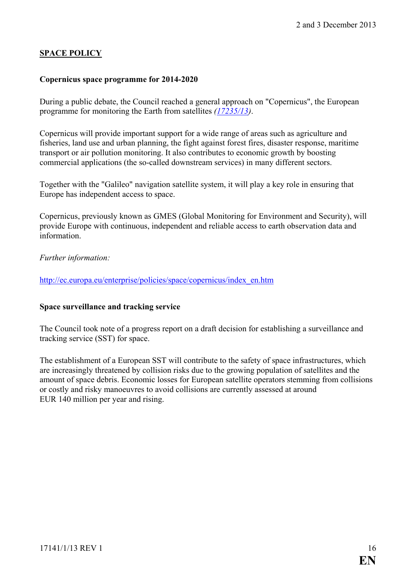## <span id="page-15-0"></span>**SPACE POLICY**

#### <span id="page-15-1"></span>**Copernicus space programme for 2014-2020**

During a public debate, the Council reached a general approach on "Copernicus", the European programme for monitoring the Earth from satellites *[\(17235/13\)](http://register.consilium.europa.eu/doc/srv?l=EN&t=PDF&gc=true&sc=false&f=ST%2017235%202013%20INIT&r=http%3A%2F%2Fregister.consilium.europa.eu%2Fpd%2Fen%2F13%2Fst17%2Fst17235.en13.pdf)*.

Copernicus will provide important support for a wide range of areas such as agriculture and fisheries, land use and urban planning, the fight against forest fires, disaster response, maritime transport or air pollution monitoring. It also contributes to economic growth by boosting commercial applications (the so-called downstream services) in many different sectors.

Together with the "Galileo" navigation satellite system, it will play a key role in ensuring that Europe has independent access to space.

Copernicus, previously known as GMES (Global Monitoring for Environment and Security), will provide Europe with continuous, independent and reliable access to earth observation data and information.

#### *Further information:*

[http://ec.europa.eu/enterprise/policies/space/copernicus/index\\_en.htm](http://ec.europa.eu/enterprise/policies/space/copernicus/index_en.htm)

#### <span id="page-15-2"></span>**Space surveillance and tracking service**

The Council took note of a progress report on a draft decision for establishing a surveillance and tracking service (SST) for space.

The establishment of a European SST will contribute to the safety of space infrastructures, which are increasingly threatened by collision risks due to the growing population of satellites and the amount of space debris. Economic losses for European satellite operators stemming from collisions or costly and risky manoeuvres to avoid collisions are currently assessed at around EUR 140 million per year and rising.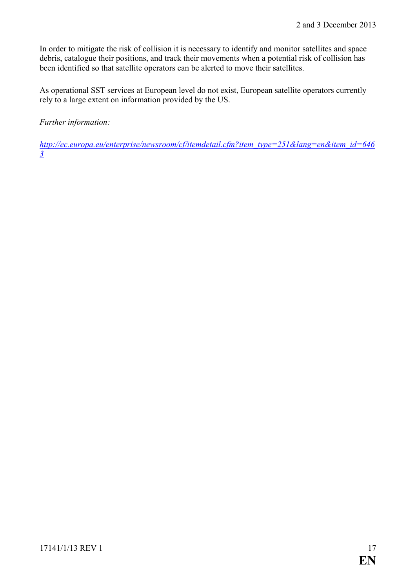In order to mitigate the risk of collision it is necessary to identify and monitor satellites and space debris, catalogue their positions, and track their movements when a potential risk of collision has been identified so that satellite operators can be alerted to move their satellites.

As operational SST services at European level do not exist, European satellite operators currently rely to a large extent on information provided by the US.

*Further information:*

*[http://ec.europa.eu/enterprise/newsroom/cf/itemdetail.cfm?item\\_type=251&lang=en&item\\_id=646](http://ec.europa.eu/enterprise/newsroom/cf/itemdetail.cfm?item_type=251&lang=en&item_id=6463) [3](http://ec.europa.eu/enterprise/newsroom/cf/itemdetail.cfm?item_type=251&lang=en&item_id=6463)*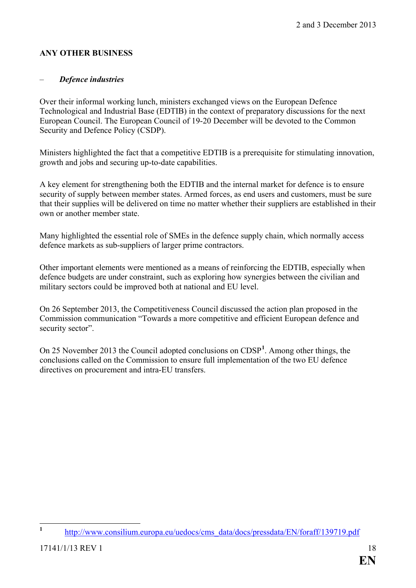## <span id="page-17-0"></span>**ANY OTHER BUSINESS**

## <span id="page-17-1"></span>– *Defence industries*

Over their informal working lunch, ministers exchanged views on the European Defence Technological and Industrial Base (EDTIB) in the context of preparatory discussions for the next European Council. The European Council of 19-20 December will be devoted to the Common Security and Defence Policy (CSDP).

Ministers highlighted the fact that a competitive EDTIB is a prerequisite for stimulating innovation, growth and jobs and securing up-to-date capabilities.

A key element for strengthening both the EDTIB and the internal market for defence is to ensure security of supply between member states. Armed forces, as end users and customers, must be sure that their supplies will be delivered on time no matter whether their suppliers are established in their own or another member state.

Many highlighted the essential role of SMEs in the defence supply chain, which normally access defence markets as sub-suppliers of larger prime contractors.

Other important elements were mentioned as a means of reinforcing the EDTIB, especially when defence budgets are under constraint, such as exploring how synergies between the civilian and military sectors could be improved both at national and EU level.

On 26 September 2013, the Competitiveness Council discussed the action plan proposed in the Commission communication "Towards a more competitive and efficient European defence and security sector".

On 25 November 20[1](#page-17-2)3 the Council adopted conclusions on CDSP<sup>1</sup>. Among other things, the conclusions called on the Commission to ensure full implementation of the two EU defence directives on procurement and intra-EU transfers.

<span id="page-17-2"></span>**<sup>1</sup>** [http://www.consilium.europa.eu/uedocs/cms\\_data/docs/pressdata/EN/foraff/139719.pdf](http://www.consilium.europa.eu/uedocs/cms_data/docs/pressdata/EN/foraff/139719.pdf)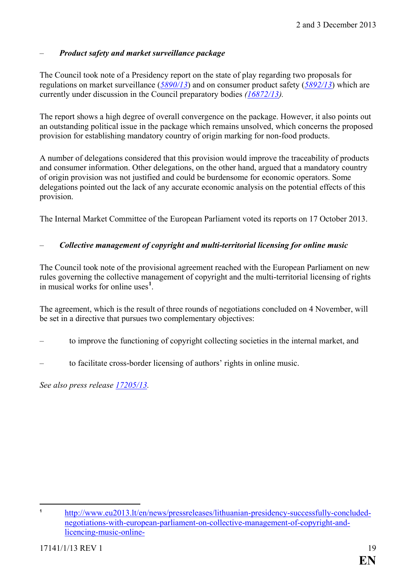## <span id="page-18-0"></span>– *Product safety and market surveillance package*

The Council took note of a Presidency report on the state of play regarding two proposals for regulations on market surveillance (*[5890/13](http://register.consilium.europa.eu/pdf/en/13/st05/st05890.en13.pdf)*) and on consumer product safety (*[5892/13](http://register.consilium.europa.eu/pdf/en/13/st05/st05892.en13.pdf)*) which are currently under discussion in the Council preparatory bodies *[\(16872/13\)](http://register.consilium.europa.eu/pdf/en/13/st16/st16872.en13.pdf).*

The report shows a high degree of overall convergence on the package. However, it also points out an outstanding political issue in the package which remains unsolved, which concerns the proposed provision for establishing mandatory country of origin marking for non-food products.

A number of delegations considered that this provision would improve the traceability of products and consumer information. Other delegations, on the other hand, argued that a mandatory country of origin provision was not justified and could be burdensome for economic operators. Some delegations pointed out the lack of any accurate economic analysis on the potential effects of this provision.

The Internal Market Committee of the European Parliament voted its reports on 17 October 2013.

## <span id="page-18-1"></span>– *Collective management of copyright and multi-territorial licensing for online music*

The Council took note of the provisional agreement reached with the European Parliament on new rules governing the collective management of copyright and the multi-territorial licensing of rights in musical works for online uses**[1](#page-18-2)** .

The agreement, which is the result of three rounds of negotiations concluded on 4 November, will be set in a directive that pursues two complementary objectives:

- to improve the functioning of copyright collecting societies in the internal market, and
- to facilitate cross-border licensing of authors' rights in online music.

*See also press release [17205/13.](http://register.consilium.europa.eu/doc/srv?l=EN&t=PDF&gc=true&sc=false&f=ST%2017205%202013%20INIT)*

<span id="page-18-2"></span> $\overline{a}$ **<sup>1</sup>** [http://www.eu2013.lt/en/news/pressreleases/lithuanian-presidency-successfully-concluded](http://www.eu2013.lt/en/news/pressreleases/lithuanian-presidency-successfully-concluded-negotiations-with-european-parliament-on-collective-management-of-copyright-and-licencing-music-online-)[negotiations-with-european-parliament-on-collective-management-of-copyright-and](http://www.eu2013.lt/en/news/pressreleases/lithuanian-presidency-successfully-concluded-negotiations-with-european-parliament-on-collective-management-of-copyright-and-licencing-music-online-)[licencing-music-online-](http://www.eu2013.lt/en/news/pressreleases/lithuanian-presidency-successfully-concluded-negotiations-with-european-parliament-on-collective-management-of-copyright-and-licencing-music-online-)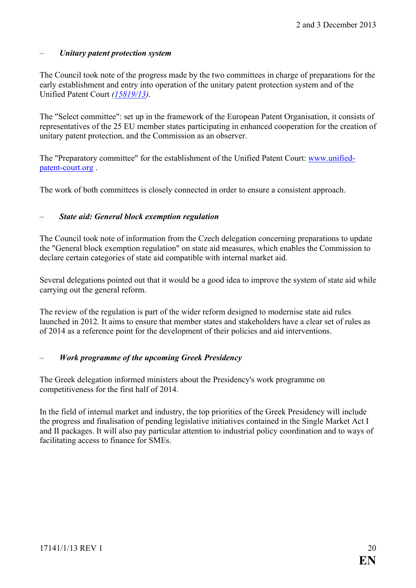## <span id="page-19-0"></span>– *Unitary patent protection system*

The Council took note of the progress made by the two committees in charge of preparations for the early establishment and entry into operation of the unitary patent protection system and of the Unified Patent Court *[\(15819/13\)](http://register.consilium.europa.eu/pdf/en/13/st15/st15819.en13.pdf)*.

The "Select committee": set up in the framework of the European Patent Organisation, it consists of representatives of the 25 EU member states participating in enhanced cooperation for the creation of unitary patent protection, and the Commission as an observer.

The "Preparatory committee" for the establishment of the Unified Patent Court: [www.unified](http://www.unified-patent-court.org/)[patent-court.org](http://www.unified-patent-court.org/) .

The work of both committees is closely connected in order to ensure a consistent approach.

## <span id="page-19-1"></span>– *State aid: General block exemption regulation*

The Council took note of information from the Czech delegation concerning preparations to update the "General block exemption regulation" on state aid measures, which enables the Commission to declare certain categories of state aid compatible with internal market aid.

Several delegations pointed out that it would be a good idea to improve the system of state aid while carrying out the general reform.

The review of the regulation is part of the wider reform designed to modernise state aid rules launched in 2012. It aims to ensure that member states and stakeholders have a clear set of rules as of 2014 as a reference point for the development of their policies and aid interventions.

## <span id="page-19-2"></span>– *Work programme of the upcoming Greek Presidency*

The Greek delegation informed ministers about the Presidency's work programme on competitiveness for the first half of 2014.

In the field of internal market and industry, the top priorities of the Greek Presidency will include the progress and finalisation of pending legislative initiatives contained in the Single Market Act I and II packages. It will also pay particular attention to industrial policy coordination and to ways of facilitating access to finance for SMEs.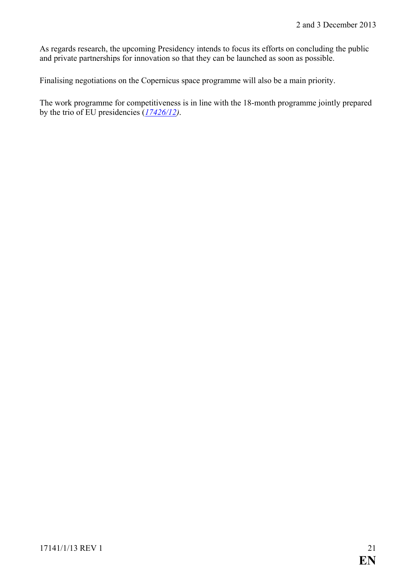As regards research, the upcoming Presidency intends to focus its efforts on concluding the public and private partnerships for innovation so that they can be launched as soon as possible.

Finalising negotiations on the Copernicus space programme will also be a main priority.

The work programme for competitiveness is in line with the 18-month programme jointly prepared by the trio of EU presidencies (*[17426/12\)](http://register.consilium.europa.eu/pdf/en/12/st17/st17426.en12.pdf)*.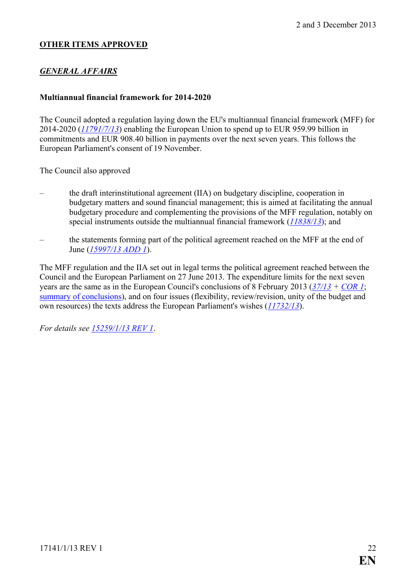## **OTHER ITEMS APPROVED**

## *GENERAL AFFAIRS*

#### <span id="page-21-0"></span>**Multiannual financial framework for 2014-2020**

The Council adopted a regulation laying down the EU's multiannual financial framework (MFF) for 2014-2020 (*[11791/7/13](http://register.consilium.europa.eu/pdf/en/13/st11/st11791-re07.en13.pdf)*) enabling the European Union to spend up to EUR 959.99 billion in commitments and EUR 908.40 billion in payments over the next seven years. This follows the European Parliament's consent of 19 November.

The Council also approved

- the draft interinstitutional agreement (IIA) on budgetary discipline, cooperation in budgetary matters and sound financial management; this is aimed at facilitating the annual budgetary procedure and complementing the provisions of the MFF regulation, notably on special instruments outside the multiannual financial framework (*[11838/13](http://register.consilium.europa.eu/pdf/en/13/st11/st11838.en13.pdf)*); and
- the statements forming part of the political agreement reached on the MFF at the end of June (*[15997/13 ADD 1](http://register.consilium.europa.eu/pdf/en/13/st15/st15997-ad01.en13.pdf)*).

The MFF regulation and the IIA set out in legal terms the political agreement reached between the Council and the European Parliament on 27 June 2013. The expenditure limits for the next seven years are the same as in the European Council's conclusions of 8 February 2013 (*[37/13](http://register.consilium.europa.eu/pdf/en/13/st00/st00037.en13.pdf) + [COR 1](http://register.consilium.europa.eu/pdf/en/13/st00/st00037-co01.en13.pdf)*; [summary of conclusions\)](http://www.consilium.europa.eu/special-reports/mff/summary-of-the-european-council-agreement), and on four issues (flexibility, review/revision, unity of the budget and own resources) the texts address the European Parliament's wishes (*[11732/13](http://register.consilium.europa.eu/pdf/en/13/st11/st11732.en13.pdf)*).

*For details see [15259/1/13 REV 1](http://register.consilium.europa.eu/pdf/en/13/st15/st15259-re01.en13.pdf)*.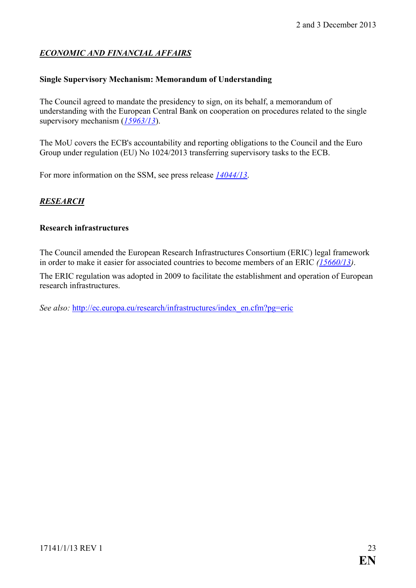## *ECONOMIC AND FINANCIAL AFFAIRS*

#### <span id="page-22-0"></span>**Single Supervisory Mechanism: Memorandum of Understanding**

The Council agreed to mandate the presidency to sign, on its behalf, a memorandum of understanding with the European Central Bank on cooperation on procedures related to the single supervisory mechanism (*[15963/13](http://register.consilium.europa.eu/pdf/en/13/st15/st15963.en13.pdf)*).

The MoU covers the ECB's accountability and reporting obligations to the Council and the Euro Group under regulation (EU) No 1024/2013 transferring supervisory tasks to the ECB.

For more information on the SSM, see press release *[14044/13](http://register.consilium.europa.eu/pdf/en/13/st14/st14044.en13.pdf)*.

## *RESEARCH*

#### <span id="page-22-1"></span>**Research infrastructures**

The Council amended the European Research Infrastructures Consortium (ERIC) legal framework in order to make it easier for associated countries to become members of an ERIC *[\(15660/13\)](http://register.consilium.europa.eu/pdf/en/13/st15/st15660.en13.pdf)*.

The ERIC regulation was adopted in 2009 to facilitate the establishment and operation of European research infrastructures.

*See also:* [http://ec.europa.eu/research/infrastructures/index\\_en.cfm?pg=eric](http://ec.europa.eu/research/infrastructures/index_en.cfm?pg=eric)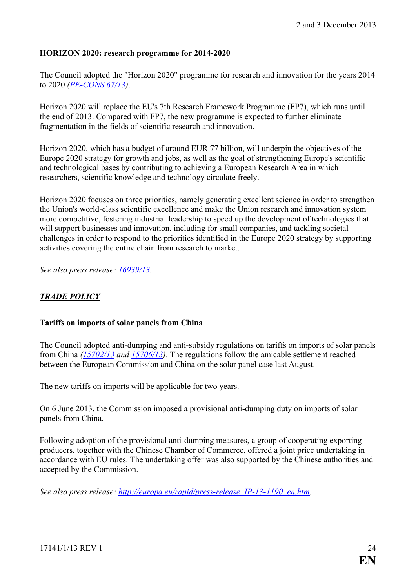#### <span id="page-23-0"></span>**HORIZON 2020: research programme for 2014-2020**

The Council adopted the "Horizon 2020" programme for research and innovation for the years 2014 to 2020 *[\(PE-CONS 67/13\)](http://register.consilium.europa.eu/pdf/en/13/pe00/pe00067.en13.pdf)*.

Horizon 2020 will replace the EU's 7th Research Framework Programme (FP7), which runs until the end of 2013. Compared with FP7, the new programme is expected to further eliminate fragmentation in the fields of scientific research and innovation.

Horizon 2020, which has a budget of around EUR 77 billion, will underpin the objectives of the Europe 2020 strategy for growth and jobs, as well as the goal of strengthening Europe's scientific and technological bases by contributing to achieving a European Research Area in which researchers, scientific knowledge and technology circulate freely.

Horizon 2020 focuses on three priorities, namely generating excellent science in order to strengthen the Union's world-class scientific excellence and make the Union research and innovation system more competitive, fostering industrial leadership to speed up the development of technologies that will support businesses and innovation, including for small companies, and tackling societal challenges in order to respond to the priorities identified in the Europe 2020 strategy by supporting activities covering the entire chain from research to market.

*See also press release: [16939/13.](http://register.consilium.europa.eu/doc/srv?l=EN&t=PDF&gc=true&sc=false&f=ST%2016939%202013%20INIT)*

## *TRADE POLICY*

#### <span id="page-23-1"></span>**Tariffs on imports of solar panels from China**

The Council adopted anti-dumping and anti-subsidy regulations on tariffs on imports of solar panels from China *[\(15702/13](http://register.consilium.europa.eu/servlet/driver?ssf=DATE_DOCUMENT+DESC&srm=25&md=400&typ=Simple&cmsid=638&ff_SOUS_COTE_MATIERE=&lang=EN&fc=REGAISEN&ff_COTE_DOCUMENT=15702/13&ff_TITRE=&ff_FT_TEXT=&dd_DATE_REUNION=&single_comparator=&single_date=&from_date=&to_date=&rc=1&nr=1&page=Detail) and [15706/13\)](http://register.consilium.europa.eu/servlet/driver?ssf=DATE_DOCUMENT+DESC&srm=25&md=400&typ=Simple&cmsid=638&ff_SOUS_COTE_MATIERE=&lang=EN&fc=REGAISEN&ff_COTE_DOCUMENT=15706/13&ff_TITRE=&ff_FT_TEXT=&dd_DATE_REUNION=&single_comparator=&single_date=&from_date=&to_date=&rc=2&nr=2&page=Detail)*. The regulations follow the amicable settlement reached between the European Commission and China on the solar panel case last August.

The new tariffs on imports will be applicable for two years.

On 6 June 2013, the Commission imposed a provisional anti-dumping duty on imports of solar panels from China.

Following adoption of the provisional anti-dumping measures, a group of cooperating exporting producers, together with the Chinese Chamber of Commerce, offered a joint price undertaking in accordance with EU rules. The undertaking offer was also supported by the Chinese authorities and accepted by the Commission.

*See also press release: [http://europa.eu/rapid/press-release\\_IP-13-1190\\_en.htm.](http://europa.eu/rapid/press-release_IP-13-1190_en.htm)*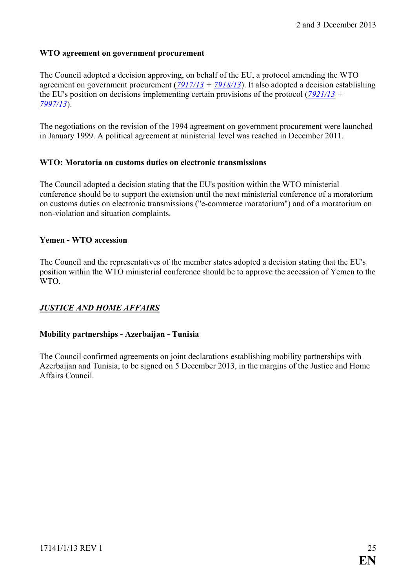#### <span id="page-24-0"></span>**WTO agreement on government procurement**

The Council adopted a decision approving, on behalf of the EU, a protocol amending the WTO agreement on government procurement (*[7917/13](http://register.consilium.europa.eu/pdf/en/13/st07/st07917.en13.pdf) + [7918/13](http://register.consilium.europa.eu/pdf/en/13/st07/st07918.en13.pdf)*). It also adopted a decision establishing the EU's position on decisions implementing certain provisions of the protocol (*[7921/13](http://register.consilium.europa.eu/pdf/en/13/st07/st07921.en13.pdf) + [7997/13](http://register.consilium.europa.eu/pdf/en/13/st07/st07997.en13.pdf)*).

The negotiations on the revision of the 1994 agreement on government procurement were launched in January 1999. A political agreement at ministerial level was reached in December 2011.

### <span id="page-24-1"></span>**WTO: Moratoria on customs duties on electronic transmissions**

The Council adopted a decision stating that the EU's position within the WTO ministerial conference should be to support the extension until the next ministerial conference of a moratorium on customs duties on electronic transmissions ("e-commerce moratorium") and of a moratorium on non-violation and situation complaints.

#### <span id="page-24-2"></span>**Yemen - WTO accession**

The Council and the representatives of the member states adopted a decision stating that the EU's position within the WTO ministerial conference should be to approve the accession of Yemen to the WTO.

## *JUSTICE AND HOME AFFAIRS*

### <span id="page-24-3"></span>**Mobility partnerships - Azerbaijan - Tunisia**

The Council confirmed agreements on joint declarations establishing mobility partnerships with Azerbaijan and Tunisia, to be signed on 5 December 2013, in the margins of the Justice and Home Affairs Council.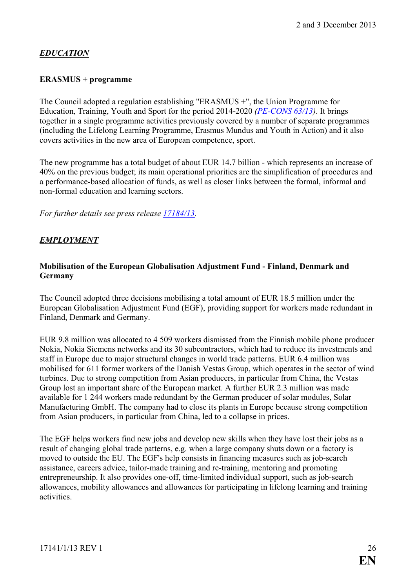# *EDUCATION*

## <span id="page-25-0"></span>**ERASMUS + programme**

The Council adopted a regulation establishing "ERASMUS +", the Union Programme for Education, Training, Youth and Sport for the period 2014-2020 *[\(PE-CONS 63/13\)](http://register.consilium.europa.eu/pdf/en/13/pe00/pe00063.en13.pdf)*. It brings together in a single programme activities previously covered by a number of separate programmes (including the Lifelong Learning Programme, Erasmus Mundus and Youth in Action) and it also covers activities in the new area of European competence, sport.

The new programme has a total budget of about EUR 14.7 billion - which represents an increase of 40% on the previous budget; its main operational priorities are the simplification of procedures and a performance-based allocation of funds, as well as closer links between the formal, informal and non-formal education and learning sectors.

*For further details see press release [17184/13.](http://register.consilium.europa.eu/doc/srv?l=EN&t=PDF&gc=true&sc=false&f=ST%2017184%202013%20INIT)*

## *EMPLOYMENT*

## <span id="page-25-1"></span>**Mobilisation of the European Globalisation Adjustment Fund - Finland, Denmark and Germany**

The Council adopted three decisions mobilising a total amount of EUR 18.5 million under the European Globalisation Adjustment Fund (EGF), providing support for workers made redundant in Finland, Denmark and Germany.

EUR 9.8 million was allocated to 4 509 workers dismissed from the Finnish mobile phone producer Nokia, Nokia Siemens networks and its 30 subcontractors, which had to reduce its investments and staff in Europe due to major structural changes in world trade patterns. EUR 6.4 million was mobilised for 611 former workers of the Danish Vestas Group, which operates in the sector of wind turbines. Due to strong competition from Asian producers, in particular from China, the Vestas Group lost an important share of the European market. A further EUR 2.3 million was made available for 1 244 workers made redundant by the German producer of solar modules, Solar Manufacturing GmbH. The company had to close its plants in Europe because strong competition from Asian producers, in particular from China, led to a collapse in prices.

The EGF helps workers find new jobs and develop new skills when they have lost their jobs as a result of changing global trade patterns, e.g. when a large company shuts down or a factory is moved to outside the EU. The EGF's help consists in financing measures such as job-search assistance, careers advice, tailor-made training and re-training, mentoring and promoting entrepreneurship. It also provides one-off, time-limited individual support, such as job-search allowances, mobility allowances and allowances for participating in lifelong learning and training activities.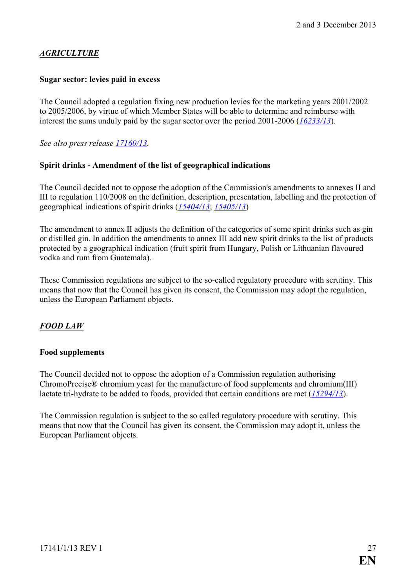## *AGRICULTURE*

### <span id="page-26-0"></span>**Sugar sector: levies paid in excess**

The Council adopted a regulation fixing new production levies for the marketing years 2001/2002 to 2005/2006, by virtue of which Member States will be able to determine and reimburse with interest the sums unduly paid by the sugar sector over the period 2001-2006 (*[16233/13](http://register.consilium.europa.eu/pdf/en/13/st16/st16233.en13.pdf)*).

*See also press release [17160/13.](http://register.consilium.europa.eu/doc/srv?l=EN&t=PDF&gc=true&sc=false&f=ST%2017160%202013%20INIT)*

#### **Spirit drinks - Amendment of the list of geographical indications**

The Council decided not to oppose the adoption of the Commission's amendments to annexes II and III to regulation 110/2008 on the definition, description, presentation, labelling and the protection of geographical indications of spirit drinks (*[15404/13](http://register.consilium.europa.eu/pdf/en/13/st15/st15404.en13.pdf)*; *[15405/13](http://register.consilium.europa.eu/pdf/en/13/st15/st15405.en13.pdf)*)

The amendment to annex II adjusts the definition of the categories of some spirit drinks such as gin or distilled gin. In addition the amendments to annex III add new spirit drinks to the list of products protected by a geographical indication (fruit spirit from Hungary, Polish or Lithuanian flavoured vodka and rum from Guatemala).

These Commission regulations are subject to the so-called regulatory procedure with scrutiny. This means that now that the Council has given its consent, the Commission may adopt the regulation, unless the European Parliament objects.

## *FOOD LAW*

### <span id="page-26-1"></span>**Food supplements**

The Council decided not to oppose the adoption of a Commission regulation authorising ChromoPrecise® chromium yeast for the manufacture of food supplements and chromium(III) lactate tri-hydrate to be added to foods, provided that certain conditions are met (*[15294/13](http://register.consilium.europa.eu/pdf/en/13/st15/st15294.en13.pdf)*).

The Commission regulation is subject to the so called regulatory procedure with scrutiny. This means that now that the Council has given its consent, the Commission may adopt it, unless the European Parliament objects.